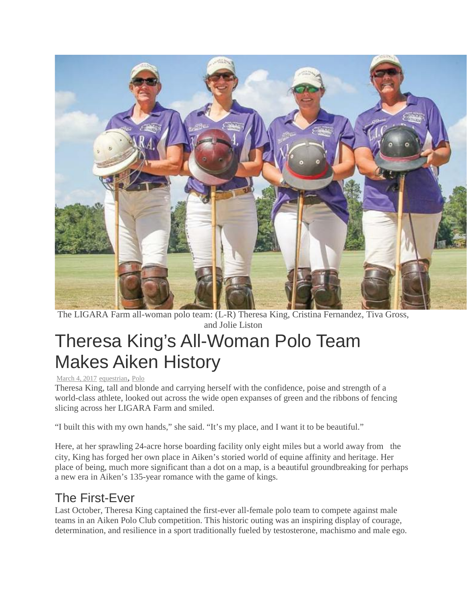

The LIGARA Farm all-woman polo team: (L-R) Theresa King, Cristina Fernandez, Tiva Gross, and Jolie Liston

# Theresa King's All-Woman Polo Team Makes Aiken History

[March](http://www.aikenbellamagazine.com/2017/03/04/theresa-kings-all-woman-polo-team-makes-aiken-history/) 4, 2017 [equestrian,](http://www.aikenbellamagazine.com/tag/equestrian/) [Polo](http://www.aikenbellamagazine.com/tag/polo/)

Theresa King, tall and blonde and carrying herself with the confidence, poise and strength of a world-class athlete, looked out across the wide open expanses of green and the ribbons of fencing slicing across her LIGARA Farm and smiled.

"I built this with my own hands," she said. "It's my place, and I want it to be beautiful."

Here, at her sprawling 24-acre horse boarding facility only eight miles but a world away from the city, King has forged her own place in Aiken's storied world of equine affinity and heritage. Her place of being, much more significant than a dot on a map, is a beautiful groundbreaking for perhaps a new era in Aiken's 135-year romance with the game of kings.

# The First-Ever

Last October, Theresa King captained the first-ever all-female polo team to compete against male teams in an Aiken Polo Club competition. This historic outing was an inspiring display of courage, determination, and resilience in a sport traditionally fueled by testosterone, machismo and male ego.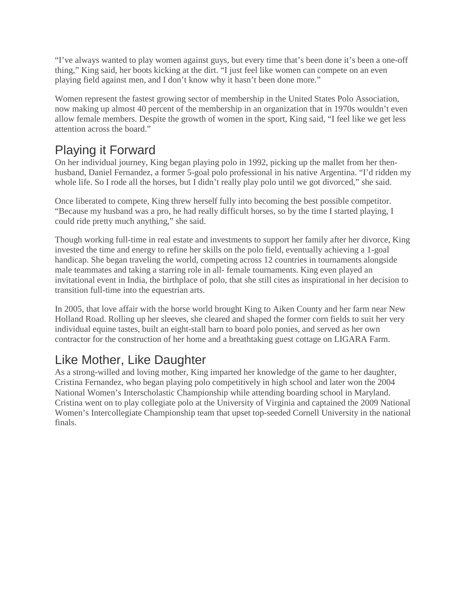"I've always wanted to play women against guys, but every time that's been done it's been a one-off thing," King said, her boots kicking at the dirt. "I just feel like women can compete on an even playing field against men, and I don't know why it hasn't been done more."

Women represent the fastest growing sector of membership in the United States Polo Association, now making up almost 40 percent of the membership in an organization that in 1970s wouldn't even allow female members. Despite the growth of women in the sport, King said, "I feel like we get less attention across the board."

# Playing it Forward

On her individual journey, King began playing polo in 1992, picking up the mallet from her thenhusband, Daniel Fernandez, a former 5-goal polo professional in his native Argentina. "I'd ridden my whole life. So I rode all the horses, but I didn't really play polo until we got divorced," she said.

Once liberated to compete, King threw herself fully into becoming the best possible competitor. "Because my husband was a pro, he had really difficult horses, so by the time I started playing, I could ride pretty much anything," she said.

Though working full-time in real estate and investments to support her family after her divorce, King invested the time and energy to refine her skills on the polo field, eventually achieving a 1-goal handicap. She began traveling the world, competing across 12 countries in tournaments alongside male teammates and taking a starring role in all- female tournaments. King even played an invitational event in India, the birthplace of polo, that she still cites as inspirational in her decision to transition full-time into the equestrian arts.

In 2005, that love affair with the horse world brought King to Aiken County and her farm near New Holland Road. Rolling up her sleeves, she cleared and shaped the former corn fields to suit her very individual equine tastes, built an eight-stall barn to board polo ponies, and served as her own contractor for the construction of her home and a breathtaking guest cottage on LIGARA Farm.

# Like Mother, Like Daughter

As a strong-willed and loving mother, King imparted her knowledge of the game to her daughter, Cristina Fernandez, who began playing polo competitively in high school and later won the 2004 National Women's Interscholastic Championship while attending boarding school in Maryland. Cristina went on to play collegiate polo at the University of Virginia and captained the 2009 National Women's Intercollegiate Championship team that upset top-seeded Cornell University in the national finals.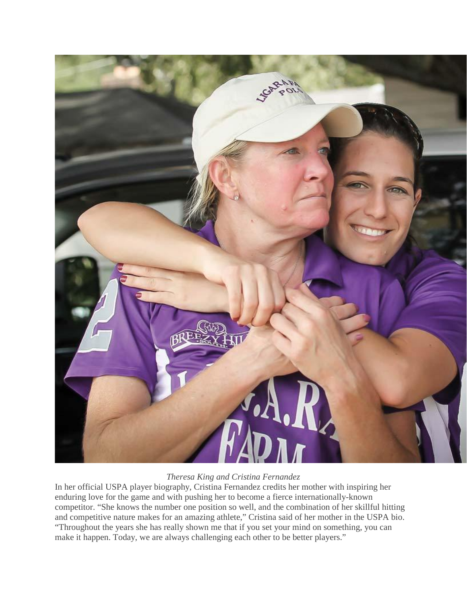

#### *Theresa King and Cristina Fernandez*

In her official USPA player biography, Cristina Fernandez credits her mother with inspiring her enduring love for the game and with pushing her to become a fierce internationally-known competitor. "She knows the number one position so well, and the combination of her skillful hitting and competitive nature makes for an amazing athlete," Cristina said of her mother in the USPA bio. "Throughout the years she has really shown me that if you set your mind on something, you can make it happen. Today, we are always challenging each other to be better players."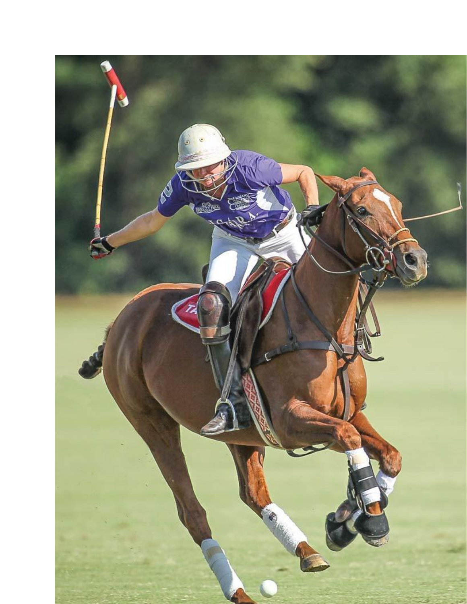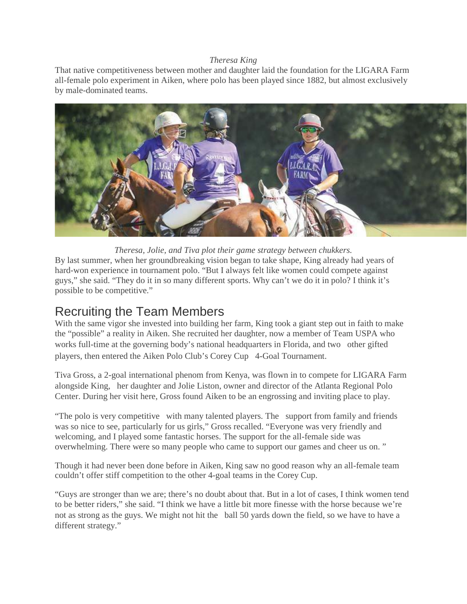#### *Theresa King*

That native competitiveness between mother and daughter laid the foundation for the LIGARA Farm all-female polo experiment in Aiken, where polo has been played since 1882, but almost exclusively by male-dominated teams.



*Theresa, Jolie, and Tiva plot their game strategy between chukkers.* By last summer, when her groundbreaking vision began to take shape, King already had years of hard-won experience in tournament polo. "But I always felt like women could compete against guys," she said. "They do it in so many different sports. Why can't we do it in polo? I think it's possible to be competitive."

### Recruiting the Team Members

With the same vigor she invested into building her farm, King took a giant step out in faith to make the "possible" a reality in Aiken. She recruited her daughter, now a member of Team USPA who works full-time at the governing body's national headquarters in Florida, and two other gifted players, then entered the Aiken Polo Club's Corey Cup 4-Goal Tournament.

Tiva Gross, a 2-goal international phenom from Kenya, was flown in to compete for LIGARA Farm alongside King, her daughter and Jolie Liston, owner and director of the Atlanta Regional Polo Center. During her visit here, Gross found Aiken to be an engrossing and inviting place to play.

"The polo is very competitive with many talented players. The support from family and friends was so nice to see, particularly for us girls," Gross recalled. "Everyone was very friendly and welcoming, and I played some fantastic horses. The support for the all-female side was overwhelming. There were so many people who came to support our games and cheer us on. "

Though it had never been done before in Aiken, King saw no good reason why an all-female team couldn't offer stiff competition to the other 4-goal teams in the Corey Cup.

"Guys are stronger than we are; there's no doubt about that. But in a lot of cases, I think women tend to be better riders," she said. "I think we have a little bit more finesse with the horse because we're not as strong as the guys. We might not hit the ball 50 yards down the field, so we have to have a different strategy."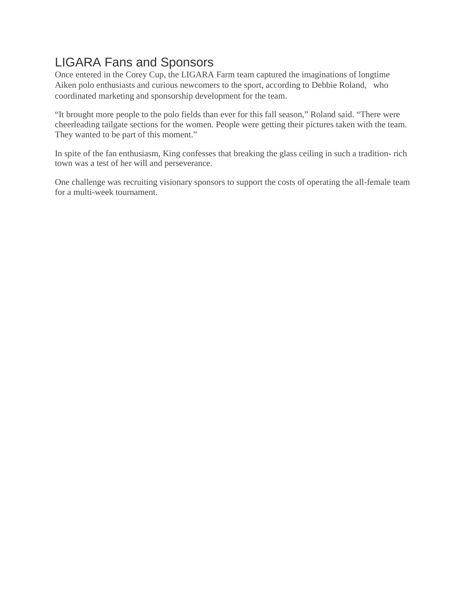# LIGARA Fans and Sponsors

Once entered in the Corey Cup, the LIGARA Farm team captured the imaginations of longtime Aiken polo enthusiasts and curious newcomers to the sport, according to Debbie Roland, who coordinated marketing and sponsorship development for the team.

"It brought more people to the polo fields than ever for this fall season," Roland said. "There were cheerleading tailgate sections for the women. People were getting their pictures taken with the team. They wanted to be part of this moment."

In spite of the fan enthusiasm, King confesses that breaking the glass ceiling in such a tradition- rich town was a test of her will and perseverance.

One challenge was recruiting visionary sponsors to support the costs of operating the all-female team for a multi-week tournament.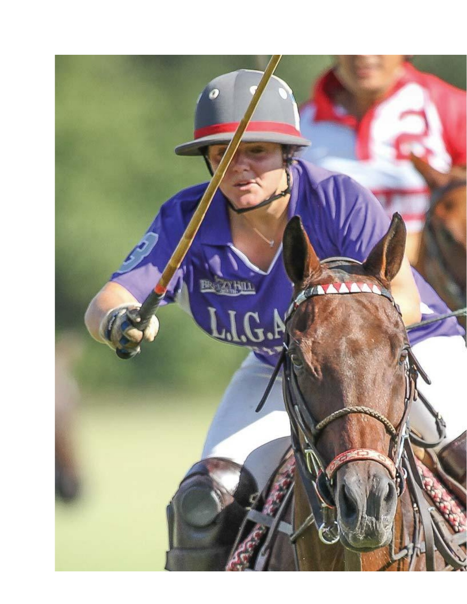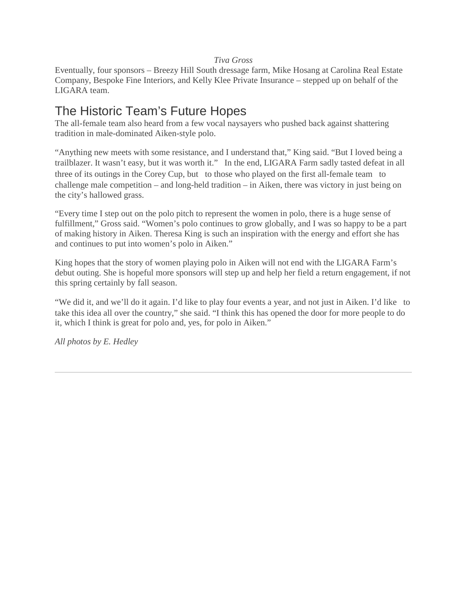#### *Tiva Gross*

Eventually, four sponsors – Breezy Hill South dressage farm, Mike Hosang at Carolina Real Estate Company, Bespoke Fine Interiors, and Kelly Klee Private Insurance – stepped up on behalf of the LIGARA team.

### The Historic Team's Future Hopes

The all-female team also heard from a few vocal naysayers who pushed back against shattering tradition in male-dominated Aiken-style polo.

"Anything new meets with some resistance, and I understand that," King said. "But I loved being a trailblazer. It wasn't easy, but it was worth it." In the end, LIGARA Farm sadly tasted defeat in all three of its outings in the Corey Cup, but to those who played on the first all-female team to challenge male competition – and long-held tradition – in Aiken, there was victory in just being on the city's hallowed grass.

"Every time I step out on the polo pitch to represent the women in polo, there is a huge sense of fulfillment," Gross said. "Women's polo continues to grow globally, and I was so happy to be a part of making history in Aiken. Theresa King is such an inspiration with the energy and effort she has and continues to put into women's polo in Aiken."

King hopes that the story of women playing polo in Aiken will not end with the LIGARA Farm's debut outing. She is hopeful more sponsors will step up and help her field a return engagement, if not this spring certainly by fall season.

"We did it, and we'll do it again. I'd like to play four events a year, and not just in Aiken. I'd like to take this idea all over the country," she said. "I think this has opened the door for more people to do it, which I think is great for polo and, yes, for polo in Aiken."

*All photos by E. Hedley*